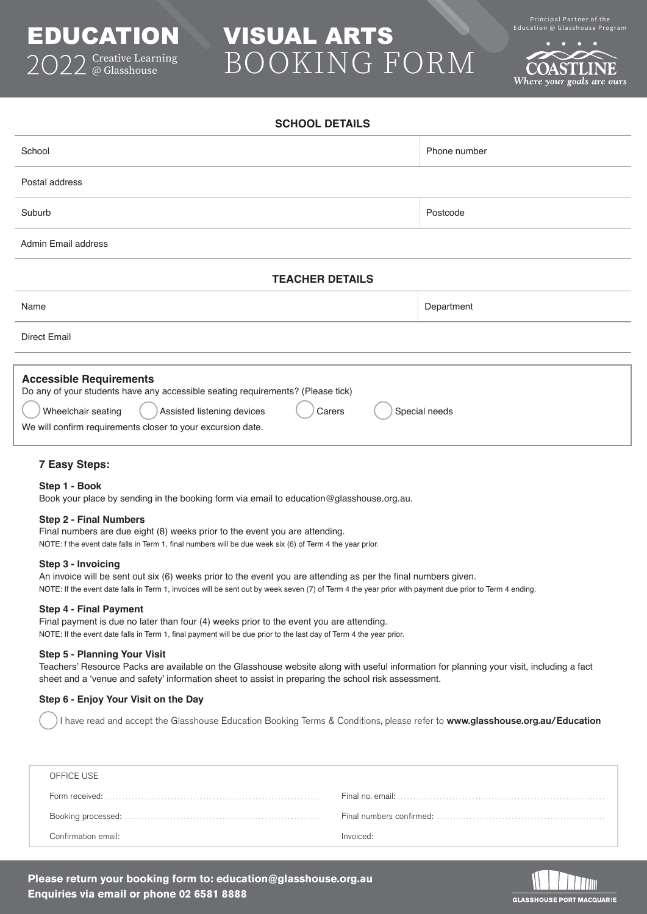

# EDUCATION VISUAL ARTS Education @ Glasshouse Program BOOKING FORM

Principal Partner of the<br>Education @ Glasshouse Program

Where your goals are ours

| School                                                                                                                                                                                                                                                          | Phone number |  |  |
|-----------------------------------------------------------------------------------------------------------------------------------------------------------------------------------------------------------------------------------------------------------------|--------------|--|--|
| Postal address                                                                                                                                                                                                                                                  |              |  |  |
| Suburb                                                                                                                                                                                                                                                          | Postcode     |  |  |
| Admin Email address                                                                                                                                                                                                                                             |              |  |  |
| <b>TEACHER DETAILS</b>                                                                                                                                                                                                                                          |              |  |  |
| Name                                                                                                                                                                                                                                                            | Department   |  |  |
| <b>Direct Email</b>                                                                                                                                                                                                                                             |              |  |  |
|                                                                                                                                                                                                                                                                 |              |  |  |
| <b>Accessible Requirements</b><br>Do any of your students have any accessible seating requirements? (Please tick)<br>Wheelchair seating<br>Assisted listening devices<br>Special needs<br>Carers<br>We will confirm requirements closer to your excursion date. |              |  |  |

**SCHOOL DETAILS**

## **7 Easy Steps:**

### **Step 1 - Book**

Book your place by sending in the booking form via email to education@glasshouse.org.au.

#### **Step 2 - Final Numbers**

Final numbers are due eight (8) weeks prior to the event you are attending. NOTE: f the event date falls in Term 1, final numbers will be due week six (6) of Term 4 the year prior.

### **Step 3 - Invoicing**

An invoice will be sent out six (6) weeks prior to the event you are attending as per the final numbers given. NOTE: If the event date falls in Term 1, invoices will be sent out by week seven (7) of Term 4 the year prior with payment due prior to Term 4 ending.

#### **Step 4 - Final Payment**

Final payment is due no later than four (4) weeks prior to the event you are attending. NOTE: If the event date falls in Term 1, final payment will be due prior to the last day of Term 4 the year prior.

#### **Step 5 - Planning Your Visit**

Teachers' Resource Packs are available on the Glasshouse website along with useful information for planning your visit, including a fact sheet and a 'venue and safety' information sheet to assist in preparing the school risk assessment.

## **Step 6 - Enjoy Your Visit on the Day**

I have read and accept the Glasshouse Education Booking Terms & Conditions, please refer to [www.glasshouse.org.au/Education](https://www.glasshouse.org.au/Education/Education-the-Glasshouse)

| OFFICE USE          |                                                                                                                                       |
|---------------------|---------------------------------------------------------------------------------------------------------------------------------------|
|                     | Final no. email: $\ldots$ $\ldots$ $\ldots$ $\ldots$ $\ldots$ $\ldots$ $\ldots$ $\ldots$ $\ldots$ $\ldots$ $\ldots$ $\ldots$ $\ldots$ |
|                     | Final numbers confirmed: $\dots \dots \dots \dots \dots \dots \dots \dots \dots \dots \dots \dots \dots$                              |
| Confirmation email: | Invoiced:                                                                                                                             |

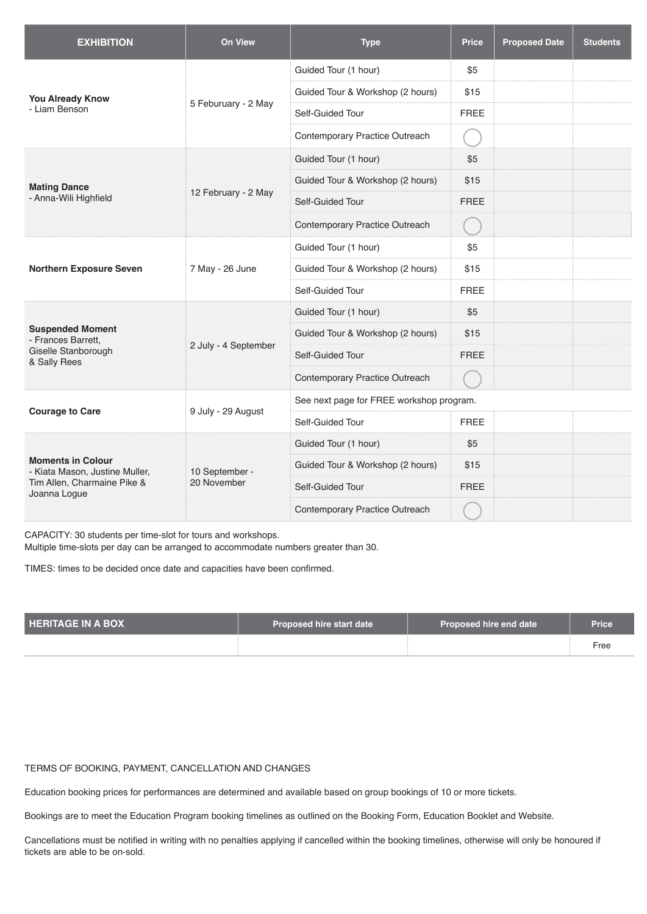| <b>EXHIBITION</b>                                                                                         | <b>On View</b>                | <b>Type</b>                              | <b>Price</b> | <b>Proposed Date</b> | <b>Students</b> |  |
|-----------------------------------------------------------------------------------------------------------|-------------------------------|------------------------------------------|--------------|----------------------|-----------------|--|
| <b>You Already Know</b><br>- Liam Benson                                                                  | 5 Feburuary - 2 May           | Guided Tour (1 hour)                     | \$5          |                      |                 |  |
|                                                                                                           |                               | Guided Tour & Workshop (2 hours)         | \$15         |                      |                 |  |
|                                                                                                           |                               | Self-Guided Tour                         | <b>FREE</b>  |                      |                 |  |
|                                                                                                           |                               | Contemporary Practice Outreach           |              |                      |                 |  |
| <b>Mating Dance</b><br>- Anna-Wili Highfield                                                              | 12 February - 2 May           | Guided Tour (1 hour)                     | \$5          |                      |                 |  |
|                                                                                                           |                               | Guided Tour & Workshop (2 hours)         | \$15         |                      |                 |  |
|                                                                                                           |                               | Self-Guided Tour                         | <b>FREE</b>  |                      |                 |  |
|                                                                                                           |                               | Contemporary Practice Outreach           |              |                      |                 |  |
| <b>Northern Exposure Seven</b>                                                                            | 7 May - 26 June               | Guided Tour (1 hour)                     | \$5          |                      |                 |  |
|                                                                                                           |                               | Guided Tour & Workshop (2 hours)         | \$15         |                      |                 |  |
|                                                                                                           |                               | Self-Guided Tour                         | <b>FREE</b>  |                      |                 |  |
| <b>Suspended Moment</b><br>- Frances Barrett,<br>Giselle Stanborough<br>& Sally Rees                      | 2 July - 4 September          | Guided Tour (1 hour)                     | \$5          |                      |                 |  |
|                                                                                                           |                               | Guided Tour & Workshop (2 hours)         | \$15         |                      |                 |  |
|                                                                                                           |                               | Self-Guided Tour                         | <b>FREE</b>  |                      |                 |  |
|                                                                                                           |                               | Contemporary Practice Outreach           |              |                      |                 |  |
| <b>Courage to Care</b>                                                                                    |                               | See next page for FREE workshop program. |              |                      |                 |  |
|                                                                                                           | 9 July - 29 August            | Self-Guided Tour                         | <b>FREE</b>  |                      |                 |  |
| <b>Moments in Colour</b><br>- Kiata Mason, Justine Muller,<br>Tim Allen, Charmaine Pike &<br>Joanna Logue | 10 September -<br>20 November | Guided Tour (1 hour)                     | \$5          |                      |                 |  |
|                                                                                                           |                               | Guided Tour & Workshop (2 hours)         | \$15         |                      |                 |  |
|                                                                                                           |                               | Self-Guided Tour                         | <b>FREE</b>  |                      |                 |  |
|                                                                                                           |                               | Contemporary Practice Outreach           |              |                      |                 |  |

CAPACITY: 30 students per time-slot for tours and workshops.

Multiple time-slots per day can be arranged to accommodate numbers greater than 30.

TIMES: times to be decided once date and capacities have been confirmed.

| <b>HERITAGE IN A BOX</b> | Proposed hire start date | Proposed hire end date | <b>Price</b> |
|--------------------------|--------------------------|------------------------|--------------|
|                          |                          |                        | Free         |

TERMS OF BOOKING, PAYMENT, CANCELLATION AND CHANGES

Education booking prices for performances are determined and available based on group bookings of 10 or more tickets.

Bookings are to meet the Education Program booking timelines as outlined on the Booking Form, Education Booklet and Website.

Cancellations must be notified in writing with no penalties applying if cancelled within the booking timelines, otherwise will only be honoured if tickets are able to be on-sold.